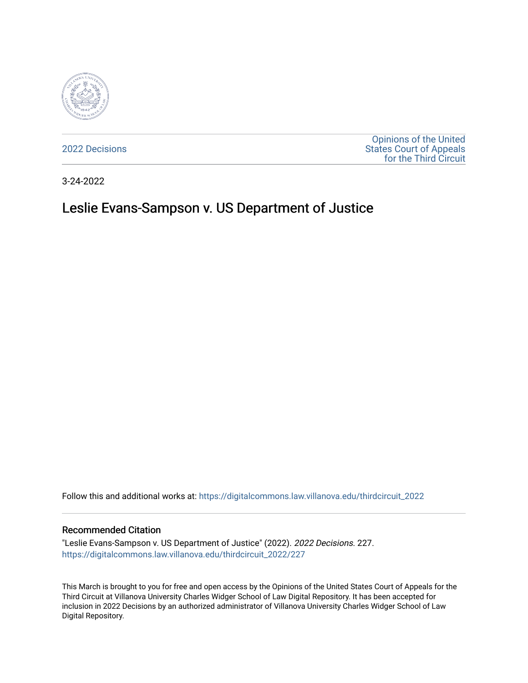

[2022 Decisions](https://digitalcommons.law.villanova.edu/thirdcircuit_2022)

[Opinions of the United](https://digitalcommons.law.villanova.edu/thirdcircuit)  [States Court of Appeals](https://digitalcommons.law.villanova.edu/thirdcircuit)  [for the Third Circuit](https://digitalcommons.law.villanova.edu/thirdcircuit) 

3-24-2022

# Leslie Evans-Sampson v. US Department of Justice

Follow this and additional works at: [https://digitalcommons.law.villanova.edu/thirdcircuit\\_2022](https://digitalcommons.law.villanova.edu/thirdcircuit_2022?utm_source=digitalcommons.law.villanova.edu%2Fthirdcircuit_2022%2F227&utm_medium=PDF&utm_campaign=PDFCoverPages) 

#### Recommended Citation

"Leslie Evans-Sampson v. US Department of Justice" (2022). 2022 Decisions. 227. [https://digitalcommons.law.villanova.edu/thirdcircuit\\_2022/227](https://digitalcommons.law.villanova.edu/thirdcircuit_2022/227?utm_source=digitalcommons.law.villanova.edu%2Fthirdcircuit_2022%2F227&utm_medium=PDF&utm_campaign=PDFCoverPages)

This March is brought to you for free and open access by the Opinions of the United States Court of Appeals for the Third Circuit at Villanova University Charles Widger School of Law Digital Repository. It has been accepted for inclusion in 2022 Decisions by an authorized administrator of Villanova University Charles Widger School of Law Digital Repository.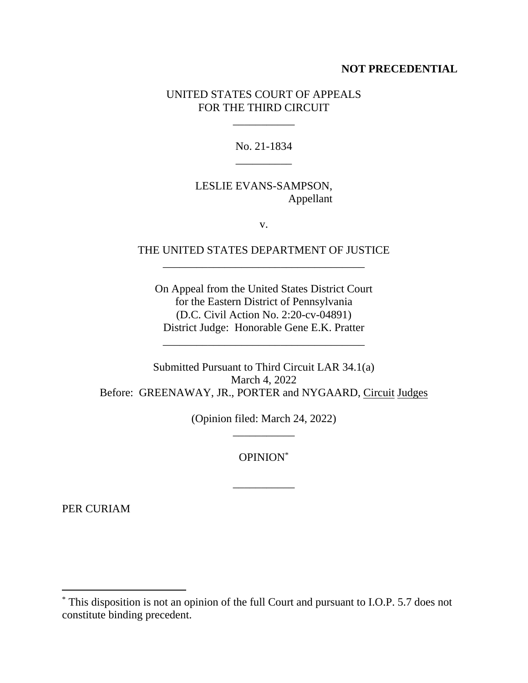## **NOT PRECEDENTIAL**

## UNITED STATES COURT OF APPEALS FOR THE THIRD CIRCUIT

\_\_\_\_\_\_\_\_\_\_\_

No. 21-1834 \_\_\_\_\_\_\_\_\_\_

# LESLIE EVANS-SAMPSON, Appellant

v.

## THE UNITED STATES DEPARTMENT OF JUSTICE \_\_\_\_\_\_\_\_\_\_\_\_\_\_\_\_\_\_\_\_\_\_\_\_\_\_\_\_\_\_\_\_\_\_\_\_

On Appeal from the United States District Court for the Eastern District of Pennsylvania (D.C. Civil Action No. 2:20-cv-04891) District Judge: Honorable Gene E.K. Pratter

\_\_\_\_\_\_\_\_\_\_\_\_\_\_\_\_\_\_\_\_\_\_\_\_\_\_\_\_\_\_\_\_\_\_\_\_

Submitted Pursuant to Third Circuit LAR 34.1(a) March 4, 2022 Before: GREENAWAY, JR., PORTER and NYGAARD, Circuit Judges

> (Opinion filed: March 24, 2022) \_\_\_\_\_\_\_\_\_\_\_

> > OPINION\*

\_\_\_\_\_\_\_\_\_\_\_

PER CURIAM

<sup>\*</sup> This disposition is not an opinion of the full Court and pursuant to I.O.P. 5.7 does not constitute binding precedent.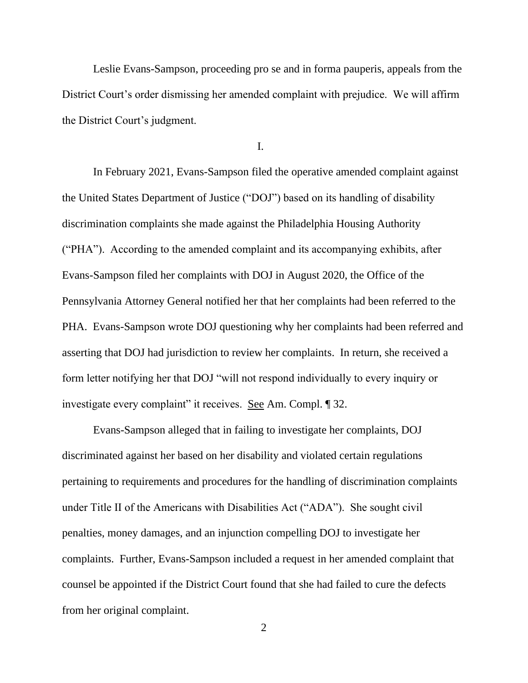Leslie Evans-Sampson, proceeding pro se and in forma pauperis, appeals from the District Court's order dismissing her amended complaint with prejudice. We will affirm the District Court's judgment.

I.

In February 2021, Evans-Sampson filed the operative amended complaint against the United States Department of Justice ("DOJ") based on its handling of disability discrimination complaints she made against the Philadelphia Housing Authority ("PHA"). According to the amended complaint and its accompanying exhibits, after Evans-Sampson filed her complaints with DOJ in August 2020, the Office of the Pennsylvania Attorney General notified her that her complaints had been referred to the PHA. Evans-Sampson wrote DOJ questioning why her complaints had been referred and asserting that DOJ had jurisdiction to review her complaints. In return, she received a form letter notifying her that DOJ "will not respond individually to every inquiry or investigate every complaint" it receives. See Am. Compl. ¶ 32.

Evans-Sampson alleged that in failing to investigate her complaints, DOJ discriminated against her based on her disability and violated certain regulations pertaining to requirements and procedures for the handling of discrimination complaints under Title II of the Americans with Disabilities Act ("ADA"). She sought civil penalties, money damages, and an injunction compelling DOJ to investigate her complaints. Further, Evans-Sampson included a request in her amended complaint that counsel be appointed if the District Court found that she had failed to cure the defects from her original complaint.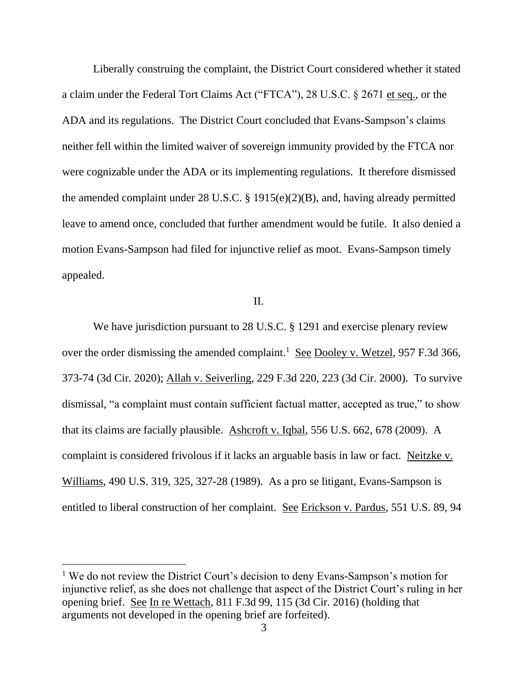Liberally construing the complaint, the District Court considered whether it stated a claim under the Federal Tort Claims Act ("FTCA"), 28 U.S.C. § 2671 et seq., or the ADA and its regulations. The District Court concluded that Evans-Sampson's claims neither fell within the limited waiver of sovereign immunity provided by the FTCA nor were cognizable under the ADA or its implementing regulations. It therefore dismissed the amended complaint under 28 U.S.C. § 1915(e)(2)(B), and, having already permitted leave to amend once, concluded that further amendment would be futile. It also denied a motion Evans-Sampson had filed for injunctive relief as moot. Evans-Sampson timely appealed.

## II.

We have jurisdiction pursuant to 28 U.S.C. § 1291 and exercise plenary review over the order dismissing the amended complaint.<sup>1</sup> See Dooley v. Wetzel, 957 F.3d 366, 373-74 (3d Cir. 2020); Allah v. Seiverling, 229 F.3d 220, 223 (3d Cir. 2000). To survive dismissal, "a complaint must contain sufficient factual matter, accepted as true," to show that its claims are facially plausible. Ashcroft v. Iqbal, 556 U.S. 662, 678 (2009). A complaint is considered frivolous if it lacks an arguable basis in law or fact. Neitzke v. Williams, 490 U.S. 319, 325, 327-28 (1989). As a pro se litigant, Evans-Sampson is entitled to liberal construction of her complaint. See Erickson v. Pardus, 551 U.S. 89, 94

<sup>&</sup>lt;sup>1</sup> We do not review the District Court's decision to deny Evans-Sampson's motion for injunctive relief, as she does not challenge that aspect of the District Court's ruling in her opening brief. See In re Wettach, 811 F.3d 99, 115 (3d Cir. 2016) (holding that arguments not developed in the opening brief are forfeited).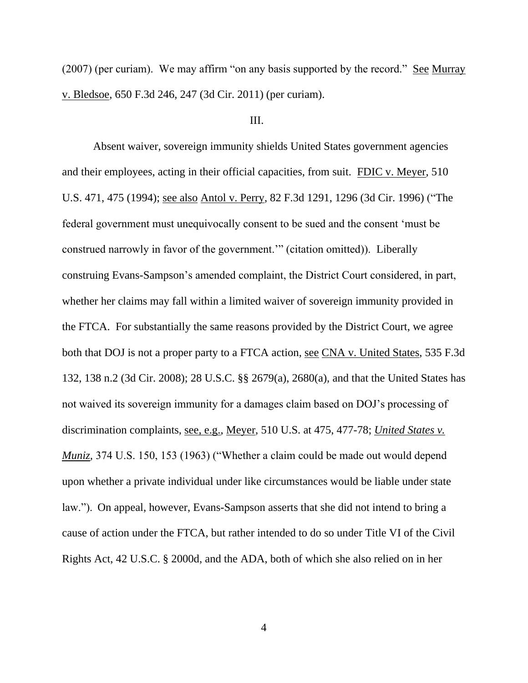(2007) (per curiam). We may affirm "on any basis supported by the record." See Murray v. Bledsoe, 650 F.3d 246, 247 (3d Cir. 2011) (per curiam).

### III.

Absent waiver, sovereign immunity shields United States government agencies and their employees, acting in their official capacities, from suit. FDIC v. Meyer, 510 U.S. 471, 475 (1994); see also Antol v. Perry, 82 F.3d 1291, 1296 (3d Cir. 1996) ("The federal government must unequivocally consent to be sued and the consent 'must be construed narrowly in favor of the government.'" (citation omitted)). Liberally construing Evans-Sampson's amended complaint, the District Court considered, in part, whether her claims may fall within a limited waiver of sovereign immunity provided in the FTCA. For substantially the same reasons provided by the District Court, we agree both that DOJ is not a proper party to a FTCA action, see CNA v. United States, 535 F.3d 132, 138 n.2 (3d Cir. 2008); 28 U.S.C. §§ 2679(a), 2680(a), and that the United States has not waived its sovereign immunity for a damages claim based on DOJ's processing of discrimination complaints, see, e.g., Meyer, 510 U.S. at 475, 477-78; *United States v. Muniz,* 374 U.S. 150, 153 (1963) ("Whether a claim could be made out would depend upon whether a private individual under like circumstances would be liable under state law."). On appeal, however, Evans-Sampson asserts that she did not intend to bring a cause of action under the FTCA, but rather intended to do so under Title VI of the Civil Rights Act, 42 U.S.C. § 2000d, and the ADA, both of which she also relied on in her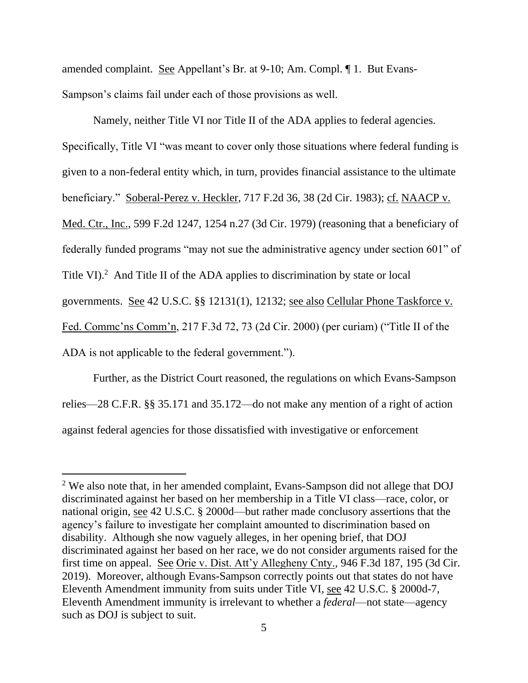amended complaint. See Appellant's Br. at 9-10; Am. Compl. ¶ 1. But Evans-Sampson's claims fail under each of those provisions as well.

Namely, neither Title VI nor Title II of the ADA applies to federal agencies. Specifically, Title VI "was meant to cover only those situations where federal funding is given to a non-federal entity which, in turn, provides financial assistance to the ultimate beneficiary." Soberal-Perez v. Heckler, 717 F.2d 36, 38 (2d Cir. 1983); cf. NAACP v. Med. Ctr., Inc., 599 F.2d 1247, 1254 n.27 (3d Cir. 1979) (reasoning that a beneficiary of federally funded programs "may not sue the administrative agency under section 601" of Title VI).<sup>2</sup> And Title II of the ADA applies to discrimination by state or local governments. See 42 U.S.C. §§ 12131(1), 12132; see also Cellular Phone Taskforce v. Fed. Commc'ns Comm'n, 217 F.3d 72, 73 (2d Cir. 2000) (per curiam) ("Title II of the ADA is not applicable to the federal government.").

Further, as the District Court reasoned, the regulations on which Evans-Sampson relies—28 C.F.R. §§ 35.171 and 35.172—do not make any mention of a right of action against federal agencies for those dissatisfied with investigative or enforcement

<sup>&</sup>lt;sup>2</sup> We also note that, in her amended complaint, Evans-Sampson did not allege that DOJ discriminated against her based on her membership in a Title VI class—race, color, or national origin, see 42 U.S.C. § 2000d—but rather made conclusory assertions that the agency's failure to investigate her complaint amounted to discrimination based on disability. Although she now vaguely alleges, in her opening brief, that DOJ discriminated against her based on her race, we do not consider arguments raised for the first time on appeal. See Orie v. Dist. Att'y Allegheny Cnty., 946 F.3d 187, 195 (3d Cir. 2019). Moreover, although Evans-Sampson correctly points out that states do not have Eleventh Amendment immunity from suits under Title VI, see 42 U.S.C. § 2000d-7, Eleventh Amendment immunity is irrelevant to whether a *federal*—not state—agency such as DOJ is subject to suit.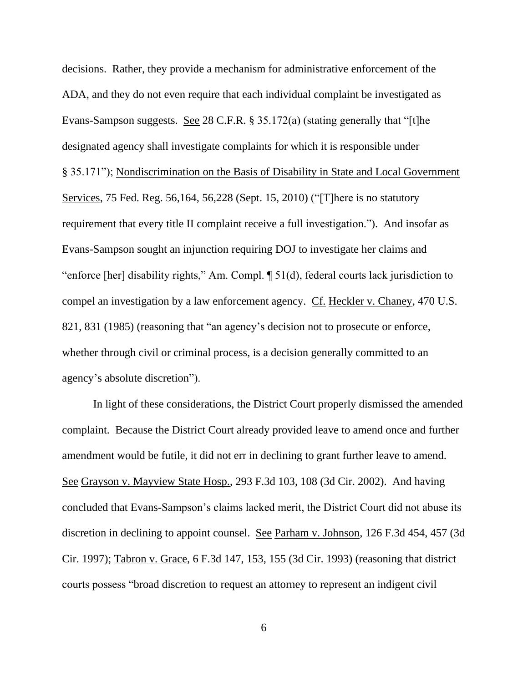decisions. Rather, they provide a mechanism for administrative enforcement of the ADA, and they do not even require that each individual complaint be investigated as Evans-Sampson suggests. See 28 C.F.R. § 35.172(a) (stating generally that "[t]he designated agency shall investigate complaints for which it is responsible under § 35.171"); Nondiscrimination on the Basis of Disability in State and Local Government Services, 75 Fed. Reg. 56,164, 56,228 (Sept. 15, 2010) ("[T]here is no statutory requirement that every title II complaint receive a full investigation."). And insofar as Evans-Sampson sought an injunction requiring DOJ to investigate her claims and "enforce [her] disability rights," Am. Compl. ¶ 51(d), federal courts lack jurisdiction to compel an investigation by a law enforcement agency. Cf. Heckler v. Chaney, 470 U.S. 821, 831 (1985) (reasoning that "an agency's decision not to prosecute or enforce, whether through civil or criminal process, is a decision generally committed to an agency's absolute discretion").

In light of these considerations, the District Court properly dismissed the amended complaint. Because the District Court already provided leave to amend once and further amendment would be futile, it did not err in declining to grant further leave to amend. See Grayson v. Mayview State Hosp., 293 F.3d 103, 108 (3d Cir. 2002). And having concluded that Evans-Sampson's claims lacked merit, the District Court did not abuse its discretion in declining to appoint counsel. See Parham v. Johnson, 126 F.3d 454, 457 (3d Cir. 1997); Tabron v. Grace, 6 F.3d 147, 153, 155 (3d Cir. 1993) (reasoning that district courts possess "broad discretion to request an attorney to represent an indigent civil

6